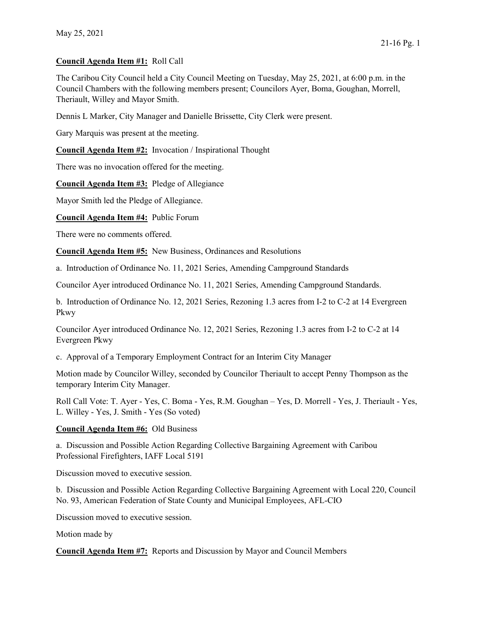## Council Agenda Item #1: Roll Call

The Caribou City Council held a City Council Meeting on Tuesday, May 25, 2021, at 6:00 p.m. in the Council Chambers with the following members present; Councilors Ayer, Boma, Goughan, Morrell, Theriault, Willey and Mayor Smith.

Dennis L Marker, City Manager and Danielle Brissette, City Clerk were present.

Gary Marquis was present at the meeting.

Council Agenda Item #2: Invocation / Inspirational Thought

There was no invocation offered for the meeting.

Council Agenda Item #3: Pledge of Allegiance

Mayor Smith led the Pledge of Allegiance.

Council Agenda Item #4: Public Forum

There were no comments offered.

Council Agenda Item #5: New Business, Ordinances and Resolutions

a. Introduction of Ordinance No. 11, 2021 Series, Amending Campground Standards

Councilor Ayer introduced Ordinance No. 11, 2021 Series, Amending Campground Standards.

b. Introduction of Ordinance No. 12, 2021 Series, Rezoning 1.3 acres from I-2 to C-2 at 14 Evergreen Pkwy

Councilor Ayer introduced Ordinance No. 12, 2021 Series, Rezoning 1.3 acres from I-2 to C-2 at 14 Evergreen Pkwy

c. Approval of a Temporary Employment Contract for an Interim City Manager

Motion made by Councilor Willey, seconded by Councilor Theriault to accept Penny Thompson as the temporary Interim City Manager.

Roll Call Vote: T. Ayer - Yes, C. Boma - Yes, R.M. Goughan – Yes, D. Morrell - Yes, J. Theriault - Yes, L. Willey - Yes, J. Smith - Yes (So voted)

Council Agenda Item #6: Old Business

a. Discussion and Possible Action Regarding Collective Bargaining Agreement with Caribou Professional Firefighters, IAFF Local 5191

Discussion moved to executive session.

b. Discussion and Possible Action Regarding Collective Bargaining Agreement with Local 220, Council No. 93, American Federation of State County and Municipal Employees, AFL-CIO

Discussion moved to executive session.

Motion made by

Council Agenda Item #7: Reports and Discussion by Mayor and Council Members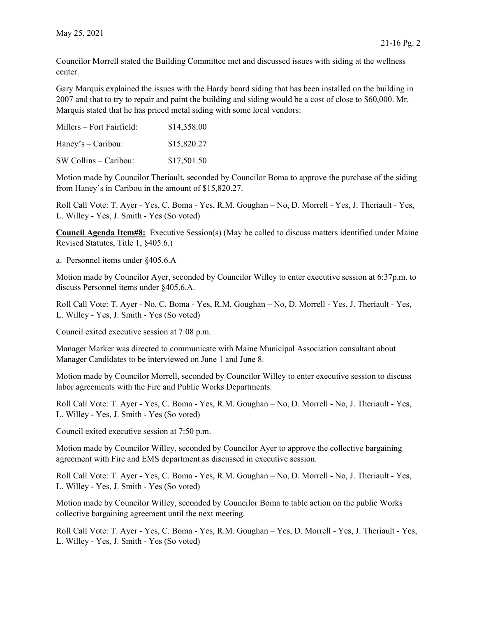Councilor Morrell stated the Building Committee met and discussed issues with siding at the wellness center.

Gary Marquis explained the issues with the Hardy board siding that has been installed on the building in 2007 and that to try to repair and paint the building and siding would be a cost of close to \$60,000. Mr. Marquis stated that he has priced metal siding with some local vendors:

| Millers – Fort Fairfield: | \$14,358.00 |
|---------------------------|-------------|
| Haney's $-$ Caribou:      | \$15,820.27 |
| $SW Collins - Caribou:$   | \$17,501.50 |

Motion made by Councilor Theriault, seconded by Councilor Boma to approve the purchase of the siding from Haney's in Caribou in the amount of \$15,820.27.

Roll Call Vote: T. Ayer - Yes, C. Boma - Yes, R.M. Goughan – No, D. Morrell - Yes, J. Theriault - Yes, L. Willey - Yes, J. Smith - Yes (So voted)

Council Agenda Item#8: Executive Session(s) (May be called to discuss matters identified under Maine Revised Statutes, Title 1, §405.6.)

a. Personnel items under §405.6.A

Motion made by Councilor Ayer, seconded by Councilor Willey to enter executive session at 6:37p.m. to discuss Personnel items under §405.6.A.

Roll Call Vote: T. Ayer - No, C. Boma - Yes, R.M. Goughan – No, D. Morrell - Yes, J. Theriault - Yes, L. Willey - Yes, J. Smith - Yes (So voted)

Council exited executive session at 7:08 p.m.

Manager Marker was directed to communicate with Maine Municipal Association consultant about Manager Candidates to be interviewed on June 1 and June 8.

Motion made by Councilor Morrell, seconded by Councilor Willey to enter executive session to discuss labor agreements with the Fire and Public Works Departments.

Roll Call Vote: T. Ayer - Yes, C. Boma - Yes, R.M. Goughan – No, D. Morrell - No, J. Theriault - Yes, L. Willey - Yes, J. Smith - Yes (So voted)

Council exited executive session at 7:50 p.m.

Motion made by Councilor Willey, seconded by Councilor Ayer to approve the collective bargaining agreement with Fire and EMS department as discussed in executive session.

Roll Call Vote: T. Ayer - Yes, C. Boma - Yes, R.M. Goughan – No, D. Morrell - No, J. Theriault - Yes, L. Willey - Yes, J. Smith - Yes (So voted)

Motion made by Councilor Willey, seconded by Councilor Boma to table action on the public Works collective bargaining agreement until the next meeting.

Roll Call Vote: T. Ayer - Yes, C. Boma - Yes, R.M. Goughan – Yes, D. Morrell - Yes, J. Theriault - Yes, L. Willey - Yes, J. Smith - Yes (So voted)